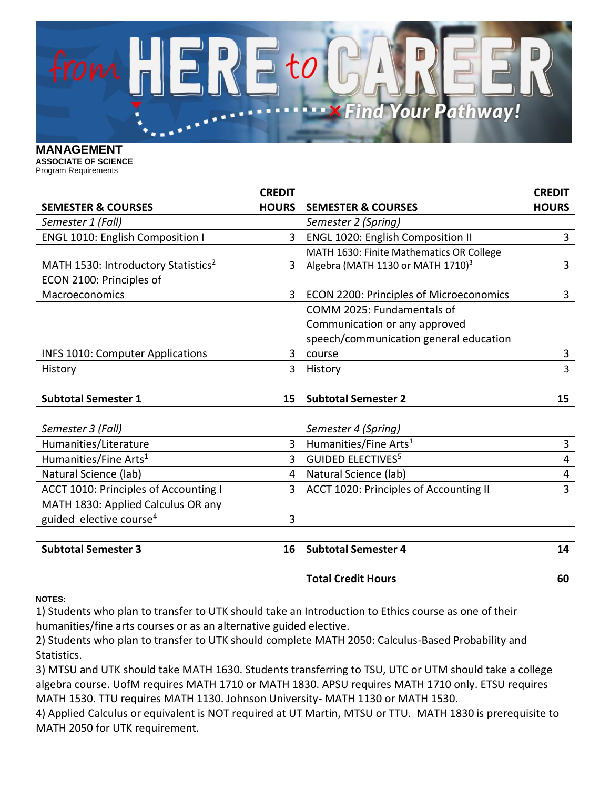

**MANAGEMENT ASSOCIATE OF SCIENCE**

Program Requirements

|                                                 | <b>CREDIT</b> |                                               | <b>CREDIT</b> |
|-------------------------------------------------|---------------|-----------------------------------------------|---------------|
| <b>SEMESTER &amp; COURSES</b>                   | <b>HOURS</b>  | <b>SEMESTER &amp; COURSES</b>                 | <b>HOURS</b>  |
| Semester 1 (Fall)                               |               | Semester 2 (Spring)                           |               |
| ENGL 1010: English Composition I                | 3             | <b>ENGL 1020: English Composition II</b>      | 3             |
|                                                 |               | MATH 1630: Finite Mathematics OR College      |               |
| MATH 1530: Introductory Statistics <sup>2</sup> | 3             | Algebra (MATH 1130 or MATH 1710) <sup>3</sup> | 3             |
| ECON 2100: Principles of                        |               |                                               |               |
| Macroeconomics                                  | 3             | ECON 2200: Principles of Microeconomics       | 3             |
|                                                 |               | COMM 2025: Fundamentals of                    |               |
|                                                 |               | Communication or any approved                 |               |
|                                                 |               | speech/communication general education        |               |
| <b>INFS 1010: Computer Applications</b>         | 3             | course                                        | 3             |
| History                                         | 3             | History                                       | 3             |
|                                                 |               |                                               |               |
| <b>Subtotal Semester 1</b>                      | 15            | <b>Subtotal Semester 2</b>                    | 15            |
|                                                 |               |                                               |               |
| Semester 3 (Fall)                               |               | Semester 4 (Spring)                           |               |
| Humanities/Literature                           | 3             | Humanities/Fine Arts <sup>1</sup>             | 3             |
| Humanities/Fine Arts <sup>1</sup>               | 3             | <b>GUIDED ELECTIVES<sup>5</sup></b>           | 4             |
| Natural Science (lab)                           | 4             | Natural Science (lab)                         | 4             |
| ACCT 1010: Principles of Accounting I           | 3             | ACCT 1020: Principles of Accounting II        | 3             |
| MATH 1830: Applied Calculus OR any              |               |                                               |               |
| guided elective course <sup>4</sup>             | 3             |                                               |               |
|                                                 |               |                                               |               |
| <b>Subtotal Semester 3</b>                      | 16            | <b>Subtotal Semester 4</b>                    | 14            |

## **Total Credit Hours 60**

## **NOTES:**

1) Students who plan to transfer to UTK should take an Introduction to Ethics course as one of their humanities/fine arts courses or as an alternative guided elective.

2) Students who plan to transfer to UTK should complete MATH 2050: Calculus-Based Probability and Statistics.

3) MTSU and UTK should take MATH 1630. Students transferring to TSU, UTC or UTM should take a college algebra course. UofM requires MATH 1710 or MATH 1830. APSU requires MATH 1710 only. ETSU requires MATH 1530. TTU requires MATH 1130. Johnson University- MATH 1130 or MATH 1530.

4) Applied Calculus or equivalent is NOT required at UT Martin, MTSU or TTU. MATH 1830 is prerequisite to MATH 2050 for UTK requirement.